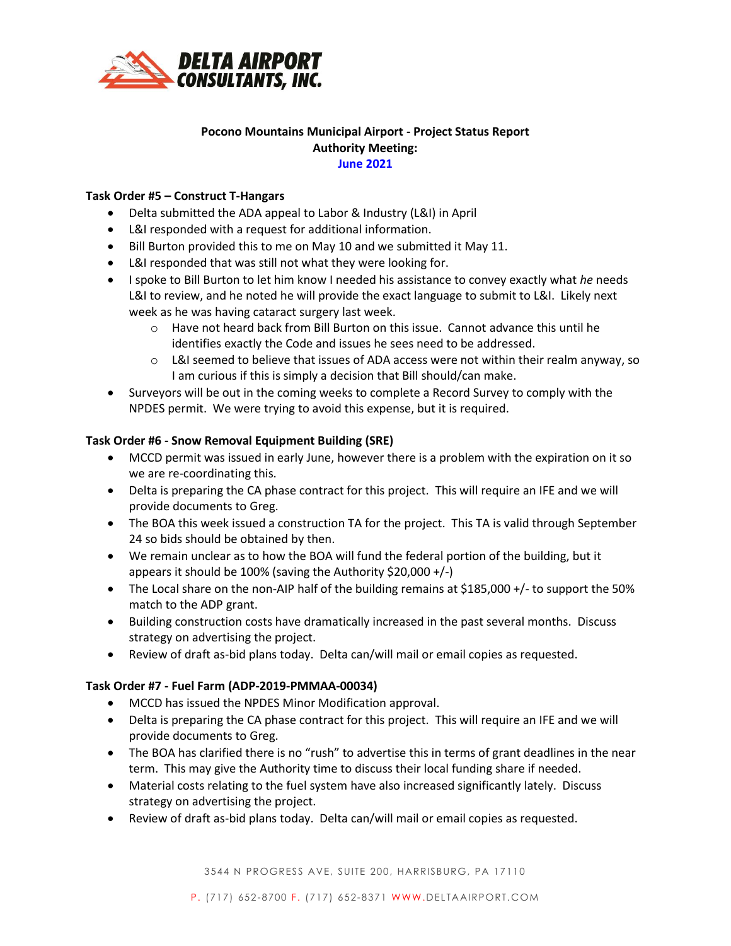

# **Pocono Mountains Municipal Airport - Project Status Report Authority Meeting: June 2021**

# **Task Order #5 – Construct T-Hangars**

- Delta submitted the ADA appeal to Labor & Industry (L&I) in April
- L&I responded with a request for additional information.
- Bill Burton provided this to me on May 10 and we submitted it May 11.
- L&I responded that was still not what they were looking for.
- I spoke to Bill Burton to let him know I needed his assistance to convey exactly what *he* needs L&I to review, and he noted he will provide the exact language to submit to L&I. Likely next week as he was having cataract surgery last week.
	- $\circ$  Have not heard back from Bill Burton on this issue. Cannot advance this until he identifies exactly the Code and issues he sees need to be addressed.
	- $\circ$  L&I seemed to believe that issues of ADA access were not within their realm anyway, so I am curious if this is simply a decision that Bill should/can make.
- Surveyors will be out in the coming weeks to complete a Record Survey to comply with the NPDES permit. We were trying to avoid this expense, but it is required.

### **Task Order #6 - Snow Removal Equipment Building (SRE)**

- MCCD permit was issued in early June, however there is a problem with the expiration on it so we are re-coordinating this.
- Delta is preparing the CA phase contract for this project. This will require an IFE and we will provide documents to Greg.
- The BOA this week issued a construction TA for the project. This TA is valid through September 24 so bids should be obtained by then.
- We remain unclear as to how the BOA will fund the federal portion of the building, but it appears it should be 100% (saving the Authority \$20,000 +/-)
- The Local share on the non-AIP half of the building remains at \$185,000 +/- to support the 50% match to the ADP grant.
- Building construction costs have dramatically increased in the past several months. Discuss strategy on advertising the project.
- Review of draft as-bid plans today. Delta can/will mail or email copies as requested.

### **Task Order #7 - Fuel Farm (ADP-2019-PMMAA-00034)**

- MCCD has issued the NPDES Minor Modification approval.
- Delta is preparing the CA phase contract for this project. This will require an IFE and we will provide documents to Greg.
- The BOA has clarified there is no "rush" to advertise this in terms of grant deadlines in the near term. This may give the Authority time to discuss their local funding share if needed.
- Material costs relating to the fuel system have also increased significantly lately. Discuss strategy on advertising the project.
- Review of draft as-bid plans today. Delta can/will mail or email copies as requested.

3544 N PROGRESS AVE, SUITE 200, HARRISBURG, PA 17110